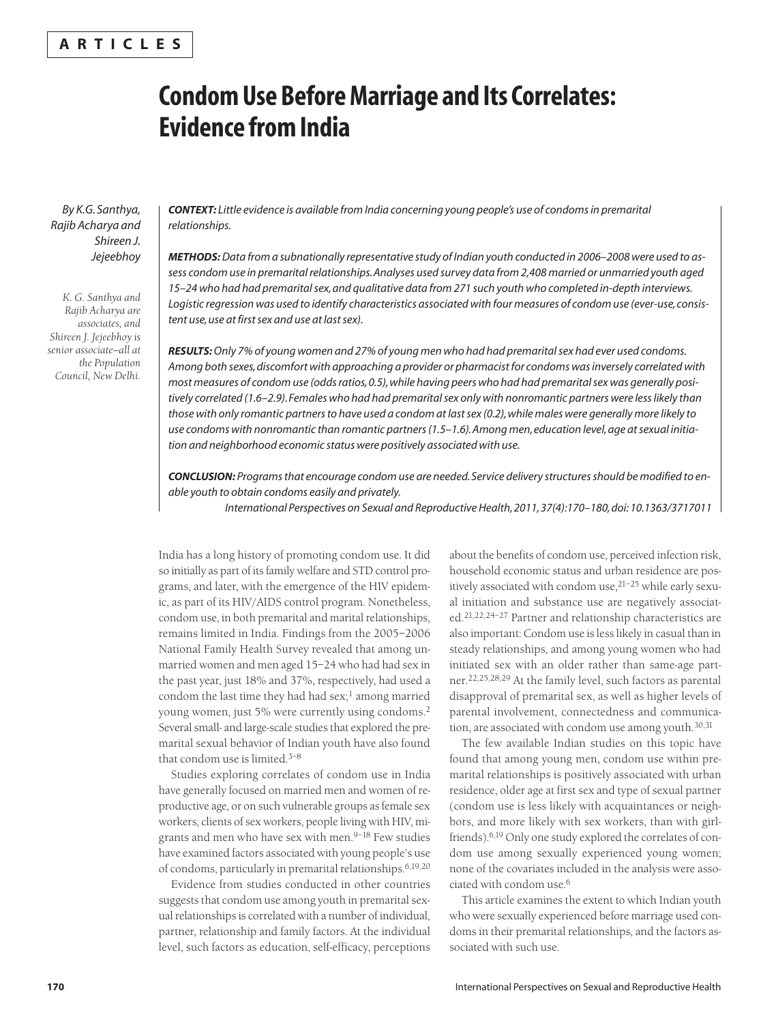## **A R T I C L E S**

# **Condom Use Before Marriage and Its Correlates: Evidence from India**

*By K.G. Santhya, Rajib Acharya and Shireen J. Jejeebhoy*

*K. G. Santhya and Rajib Acharya are associates, and Shireen J. Jejeebhoy is senior associate—all at the Population Council, New Delhi.*

*CONTEXT: Little evidence is available from India concerning young people's use of condoms in premarital relationships.*

*METHODS:Data from a subnationally representative study of Indian youth conducted in 2006–2008 were used to assess condom use in premarital relationships. Analyses used survey data from 2,408 married or unmarried youth aged 15–24 who had had premarital sex, and qualitative data from 271 such youth who completed in-depth interviews. Logistic regression was used to identify characteristics associated with four measures of condom use (ever-use, consistent use, use at first sex and use at last sex).*

*RESULTS:Only 7% of young women and 27% of young men who had had premarital sex had ever used condoms. Among both sexes, discomfort with approaching a provider or pharmacist for condoms was inversely correlated with most measures of condom use (odds ratios, 0.5), while having peers who had had premarital sex was generally positively correlated (1.6–2.9). Females who had had premarital sex only with nonromantic partners were less likely than those with only romantic partners to have used a condom at last sex (0.2), while males were generally more likely to use condoms with nonromantic than romantic partners (1.5–1.6). Among men, education level, age at sexual initiation and neighborhood economic status were positively associated with use.* 

*CONCLUSION: Programs that encourage condom use are needed. Service delivery structures should be modified to enable youth to obtain condoms easily and privately.*

*International Perspectives on Sexual and Reproductive Health, 2011, 37(4):170–180, doi: 10.1363/3717011*

India has a long history of promoting condom use. It did so initially as part of its family welfare and STD control programs, and later, with the emergence of the HIV epidemic, as part of its HIV/AIDS control program. Nonetheless, condom use, in both premarital and marital relationships, remains limited in India. Findings from the 2005–2006 National Family Health Survey revealed that among unmarried women and men aged 15–24 who had had sex in the past year, just 18% and 37%, respectively, had used a condom the last time they had had sex; $<sup>1</sup>$  among married</sup> young women, just 5% were currently using condoms.<sup>2</sup> Several small- and large-scale studies that explored the premarital sexual behavior of Indian youth have also found that condom use is limited.3–8

Studies exploring correlates of condom use in India have generally focused on married men and women of reproductive age, or on such vulnerable groups as female sex workers, clients of sex workers, people living with HIV, migrants and men who have sex with men. $9-18$  Few studies have examined factors associated with young people's use of condoms, particularly in premarital relationships.6,19,20

Evidence from studies conducted in other countries suggests that condom use among youth in premarital sexual relationships is correlated with a number of individual, partner, relationship and family factors. At the individual level, such factors as education, self-efficacy, perceptions

about the benefits of condom use, perceived infection risk, household economic status and urban residence are positively associated with condom use, 21-25 while early sexual initiation and substance use are negatively associated.21,22,24–27 Partner and relationship characteristics are also important: Condom use is less likely in casual than in steady relationships, and among young women who had initiated sex with an older rather than same-age partner.22,25,28,29 At the family level, such factors as parental disapproval of premarital sex, as well as higher levels of parental involvement, connectedness and communication, are associated with condom use among youth.30,31

The few available Indian studies on this topic have found that among young men, condom use within premarital relationships is positively associated with urban residence, older age at first sex and type of sexual partner (condom use is less likely with acquaintances or neighbors, and more likely with sex workers, than with girlfriends).6,19 Only one study explored the correlates of condom use among sexually experienced young women; none of the covariates included in the analysis were associated with condom use.6

This article examines the extent to which Indian youth who were sexually experienced before marriage used condoms in their premarital relationships, and the factors associated with such use.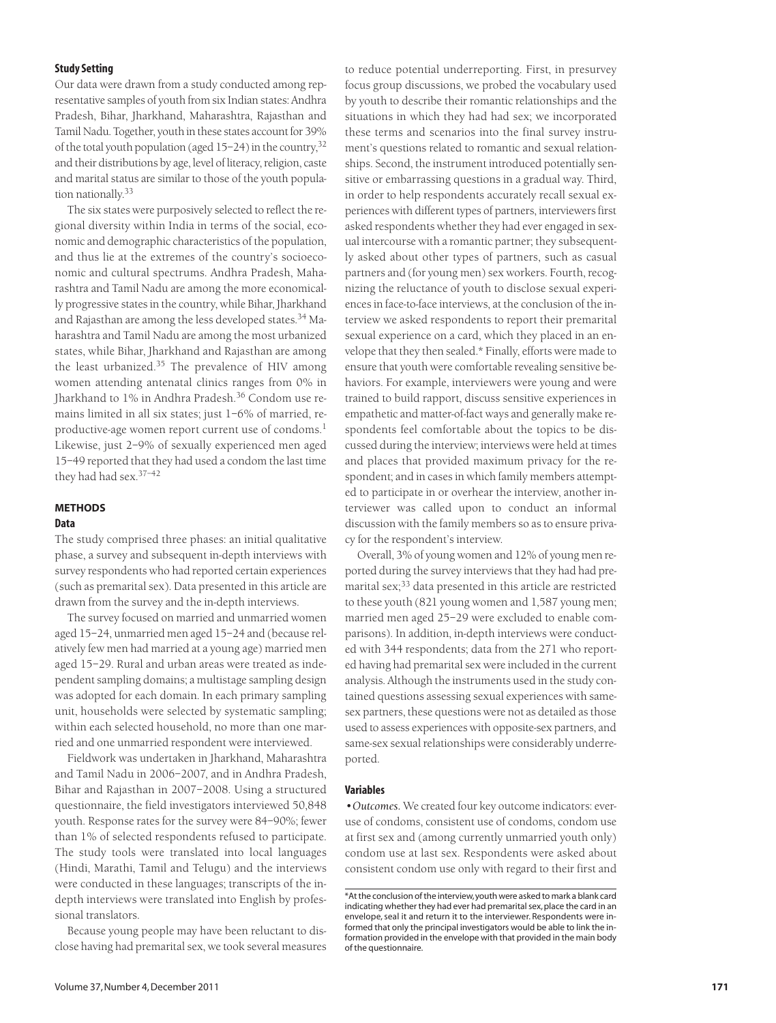## **Study Setting**

Our data were drawn from a study conducted among representative samples of youth from six Indian states: Andhra Pradesh, Bihar, Jharkhand, Maharashtra, Rajasthan and Tamil Nadu. Together, youth in these states account for 39% of the total youth population (aged  $15-24$ ) in the country,  $32$ and their distributions by age, level of literacy, religion, caste and marital status are similar to those of the youth population nationally.33

The six states were purposively selected to reflect the regional diversity within India in terms of the social, economic and demographic characteristics of the population, and thus lie at the extremes of the country's socioeconomic and cultural spectrums. Andhra Pradesh, Maharashtra and Tamil Nadu are among the more economically progressive states in the country, while Bihar, Jharkhand and Rajasthan are among the less developed states.<sup>34</sup> Maharashtra and Tamil Nadu are among the most urbanized states, while Bihar, Jharkhand and Rajasthan are among the least urbanized.<sup>35</sup> The prevalence of HIV among women attending antenatal clinics ranges from 0% in Jharkhand to 1% in Andhra Pradesh.<sup>36</sup> Condom use remains limited in all six states; just 1–6% of married, reproductive-age women report current use of condoms.<sup>1</sup> Likewise, just 2–9% of sexually experienced men aged 15–49 reported that they had used a condom the last time they had had sex.37–42

## **METHODS**

## **Data**

The study comprised three phases: an initial qualitative phase, a survey and subsequent in-depth interviews with survey respondents who had reported certain experiences (such as premarital sex). Data presented in this article are drawn from the survey and the in-depth interviews.

The survey focused on married and unmarried women aged 15–24, unmarried men aged 15–24 and (because relatively few men had married at a young age) married men aged 15–29. Rural and urban areas were treated as independent sampling domains; a multistage sampling design was adopted for each domain. In each primary sampling unit, households were selected by systematic sampling; within each selected household, no more than one married and one unmarried respondent were interviewed.

Fieldwork was undertaken in Jharkhand, Maharashtra and Tamil Nadu in 2006–2007, and in Andhra Pradesh, Bihar and Rajasthan in 2007–2008. Using a structured questionnaire, the field investigators interviewed 50,848 youth. Response rates for the survey were 84–90%; fewer than 1% of selected respondents refused to participate. The study tools were translated into local languages (Hindi, Marathi, Tamil and Telugu) and the interviews were conducted in these languages; transcripts of the indepth interviews were translated into English by professional translators.

Because young people may have been reluctant to disclose having had premarital sex, we took several measures to reduce potential underreporting. First, in presurvey focus group discussions, we probed the vocabulary used by youth to describe their romantic relationships and the situations in which they had had sex; we incorporated these terms and scenarios into the final survey instrument's questions related to romantic and sexual relationships. Second, the instrument introduced potentially sensitive or embarrassing questions in a gradual way. Third, in order to help respondents accurately recall sexual experiences with different types of partners, interviewers first asked respondents whether they had ever engaged in sexual intercourse with a romantic partner; they subsequently asked about other types of partners, such as casual partners and (for young men) sex workers. Fourth, recognizing the reluctance of youth to disclose sexual experiences in face-to-face interviews, at the conclusion of the interview we asked respondents to report their premarital sexual experience on a card, which they placed in an envelope that they then sealed.\* Finally, efforts were made to ensure that youth were comfortable revealing sensitive behaviors. For example, interviewers were young and were trained to build rapport, discuss sensitive experiences in empathetic and matter-of-fact ways and generally make respondents feel comfortable about the topics to be discussed during the interview; interviews were held at times and places that provided maximum privacy for the respondent; and in cases in which family members attempted to participate in or overhear the interview, another interviewer was called upon to conduct an informal discussion with the family members so as to ensure privacy for the respondent's interview.

Overall, 3% of young women and 12% of young men reported during the survey interviews that they had had premarital sex;<sup>33</sup> data presented in this article are restricted to these youth (821 young women and 1,587 young men; married men aged 25–29 were excluded to enable comparisons). In addition, in-depth interviews were conducted with 344 respondents; data from the 271 who reported having had premarital sex were included in the current analysis. Although the instruments used in the study contained questions assessing sexual experiences with samesex partners, these questions were not as detailed as those used to assess experiences with opposite-sex partners, and same-sex sexual relationships were considerably underreported.

#### **Variables**

*•Outcomes.* We created four key outcome indicators: everuse of condoms, consistent use of condoms, condom use at first sex and (among currently unmarried youth only) condom use at last sex. Respondents were asked about consistent condom use only with regard to their first and

<sup>\*</sup>At the conclusion of the interview, youth were asked to mark a blank card indicating whether they had ever had premarital sex, place the card in an envelope, seal it and return it to the interviewer. Respondents were informed that only the principal investigators would be able to link the information provided in the envelope with that provided in the main body of the questionnaire.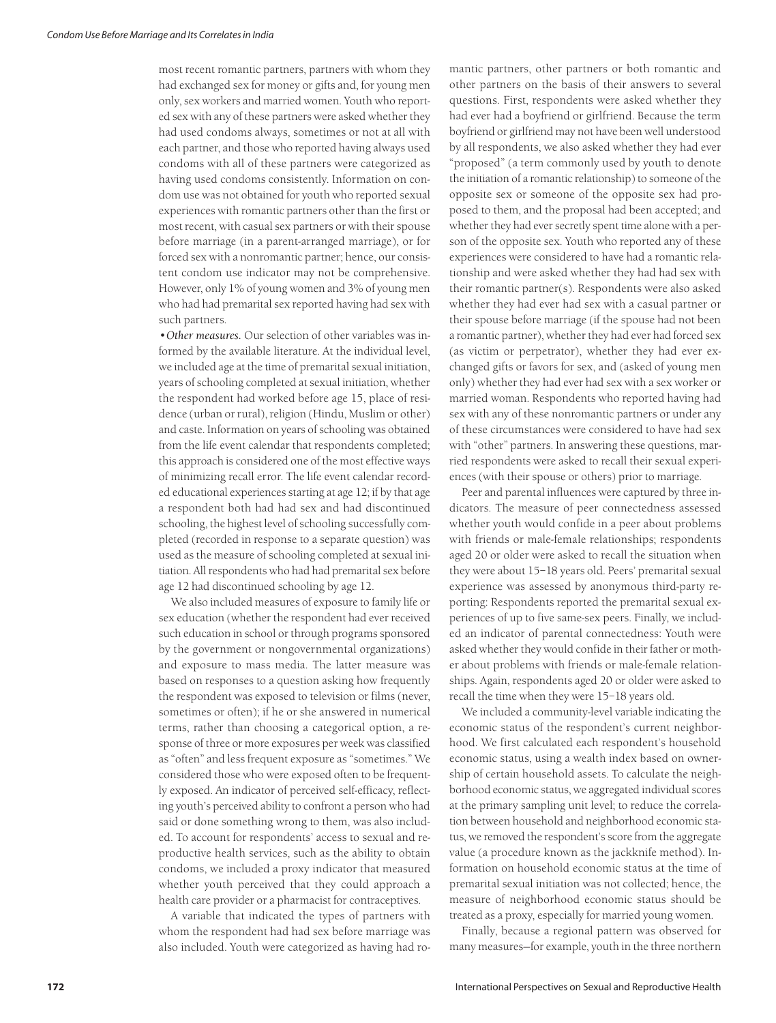most recent romantic partners, partners with whom they had exchanged sex for money or gifts and, for young men only, sex workers and married women. Youth who reported sex with any of these partners were asked whether they had used condoms always, sometimes or not at all with each partner, and those who reported having always used condoms with all of these partners were categorized as having used condoms consistently. Information on condom use was not obtained for youth who reported sexual experiences with romantic partners other than the first or most recent, with casual sex partners or with their spouse before marriage (in a parent-arranged marriage), or for forced sex with a nonromantic partner; hence, our consistent condom use indicator may not be comprehensive. However, only 1% of young women and 3% of young men who had had premarital sex reported having had sex with such partners.

*•Other measures.* Our selection of other variables was informed by the available literature. At the individual level, we included age at the time of premarital sexual initiation, years of schooling completed at sexual initiation, whether the respondent had worked before age 15, place of residence (urban or rural), religion (Hindu, Muslim or other) and caste. Information on years of schooling was obtained from the life event calendar that respondents completed; this approach is considered one of the most effective ways of minimizing recall error. The life event calendar recorded educational experiences starting at age 12; if by that age a respondent both had had sex and had discontinued schooling, the highest level of schooling successfully completed (recorded in response to a separate question) was used as the measure of schooling completed at sexual initiation. All respondents who had had premarital sex before age 12 had discontinued schooling by age 12.

We also included measures of exposure to family life or sex education (whether the respondent had ever received such education in school or through programs sponsored by the government or nongovernmental organizations) and exposure to mass media. The latter measure was based on responses to a question asking how frequently the respondent was exposed to television or films (never, sometimes or often); if he or she answered in numerical terms, rather than choosing a categorical option, a response of three or more exposures per week was classified as "often" and less frequent exposure as "sometimes." We considered those who were exposed often to be frequently exposed. An indicator of perceived self-efficacy, reflecting youth's perceived ability to confront a person who had said or done something wrong to them, was also included. To account for respondents' access to sexual and reproductive health services, such as the ability to obtain condoms, we included a proxy indicator that measured whether youth perceived that they could approach a health care provider or a pharmacist for contraceptives.

A variable that indicated the types of partners with whom the respondent had had sex before marriage was also included. Youth were categorized as having had ro-

mantic partners, other partners or both romantic and other partners on the basis of their answers to several questions. First, respondents were asked whether they had ever had a boyfriend or girlfriend. Because the term boyfriend or girlfriend may not have been well understood by all respondents, we also asked whether they had ever "proposed" (a term commonly used by youth to denote the initiation of a romantic relationship) to someone of the opposite sex or someone of the opposite sex had proposed to them, and the proposal had been accepted; and whether they had ever secretly spent time alone with a person of the opposite sex. Youth who reported any of these experiences were considered to have had a romantic relationship and were asked whether they had had sex with their romantic partner(s). Respondents were also asked whether they had ever had sex with a casual partner or their spouse before marriage (if the spouse had not been a romantic partner), whether they had ever had forced sex (as victim or perpetrator), whether they had ever exchanged gifts or favors for sex, and (asked of young men only) whether they had ever had sex with a sex worker or married woman. Respondents who reported having had sex with any of these nonromantic partners or under any of these circumstances were considered to have had sex with "other" partners. In answering these questions, married respondents were asked to recall their sexual experiences (with their spouse or others) prior to marriage.

Peer and parental influences were captured by three indicators. The measure of peer connectedness assessed whether youth would confide in a peer about problems with friends or male-female relationships; respondents aged 20 or older were asked to recall the situation when they were about 15–18 years old. Peers' premarital sexual experience was assessed by anonymous third-party reporting: Respondents reported the premarital sexual experiences of up to five same-sex peers. Finally, we included an indicator of parental connectedness: Youth were asked whether they would confide in their father or mother about problems with friends or male-female relationships. Again, respondents aged 20 or older were asked to recall the time when they were 15–18 years old.

We included a community-level variable indicating the economic status of the respondent's current neighborhood. We first calculated each respondent's household economic status, using a wealth index based on ownership of certain household assets. To calculate the neighborhood economic status, we aggregated individual scores at the primary sampling unit level; to reduce the correlation between household and neighborhood economic status, we removed the respondent's score from the aggregate value (a procedure known as the jackknife method). Information on household economic status at the time of premarital sexual initiation was not collected; hence, the measure of neighborhood economic status should be treated as a proxy, especially for married young women.

Finally, because a regional pattern was observed for many measures—for example, youth in the three northern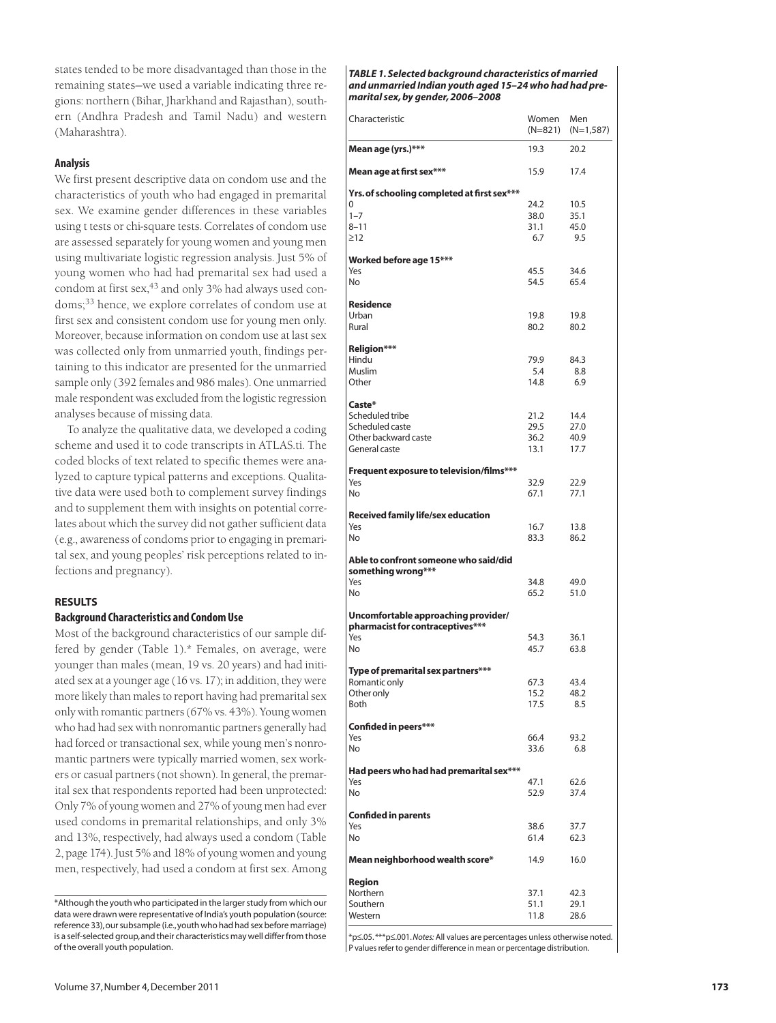states tended to be more disadvantaged than those in the remaining states—we used a variable indicating three regions: northern (Bihar, Jharkhand and Rajasthan), southern (Andhra Pradesh and Tamil Nadu) and western (Maharashtra).

## **Analysis**

We first present descriptive data on condom use and the characteristics of youth who had engaged in premarital sex. We examine gender differences in these variables using t tests or chi-square tests. Correlates of condom use are assessed separately for young women and young men using multivariate logistic regression analysis. Just 5% of young women who had had premarital sex had used a condom at first sex,<sup>43</sup> and only 3% had always used condoms;<sup>33</sup> hence, we explore correlates of condom use at first sex and consistent condom use for young men only. Moreover, because information on condom use at last sex was collected only from unmarried youth, findings pertaining to this indicator are presented for the unmarried sample only (392 females and 986 males). One unmarried male respondent was excluded from the logistic regression analyses because of missing data.

To analyze the qualitative data, we developed a coding scheme and used it to code transcripts in ATLAS.ti. The coded blocks of text related to specific themes were analyzed to capture typical patterns and exceptions. Qualitative data were used both to complement survey findings and to supplement them with insights on potential correlates about which the survey did not gather sufficient data (e.g., awareness of condoms prior to engaging in premarital sex, and young peoples' risk perceptions related to infections and pregnancy).

## **RESULTS**

## **Background Characteristics and Condom Use**

Most of the background characteristics of our sample differed by gender (Table 1).\* Females, on average, were younger than males (mean, 19 vs. 20 years) and had initiated sex at a younger age (16 vs. 17); in addition, they were more likely than males to report having had premarital sex only with romantic partners (67% vs. 43%). Young women who had had sex with nonromantic partners generally had had forced or transactional sex, while young men's nonromantic partners were typically married women, sex workers or casual partners (not shown). In general, the premarital sex that respondents reported had been unprotected: Only 7% of young women and 27% of young men had ever used condoms in premarital relationships, and only 3% and 13%, respectively, had always used a condom (Table 2, page 174). Just 5% and 18% of young women and young men, respectively, had used a condom at first sex. Among *TABLE 1. Selected background characteristics of married and unmarried Indian youth aged 15–24 who had had premarital sex, by gender, 2006–2008* 

| Characteristic                                                          | Women<br>(N=821) | Men<br>$(N=1,587)$ |
|-------------------------------------------------------------------------|------------------|--------------------|
| Mean age (yrs.)***                                                      | 19.3             | 20.2               |
| Mean age at first sex***                                                | 15.9             | 17.4               |
| Yrs. of schooling completed at first sex***                             |                  |                    |
| 0                                                                       | 24.2             | 10.5               |
| $1 - 7$                                                                 | 38.0             | 35.1               |
| $8 - 11$                                                                | 31.1             | 45.0               |
| $\geq$ 12                                                               | 6.7              | 9.5                |
| Worked before age 15***                                                 |                  |                    |
| Yes                                                                     | 45.5             | 34.6               |
| No                                                                      | 54.5             | 65.4               |
| <b>Residence</b>                                                        |                  |                    |
| Urban                                                                   | 19.8             | 19.8               |
| Rural                                                                   | 80.2             | 80.2               |
| Religion***                                                             |                  |                    |
| Hindu                                                                   | 79.9             | 84.3               |
| <b>Muslim</b>                                                           | 5.4              | 8.8                |
| Other                                                                   | 14.8             | 6.9                |
| Caste*                                                                  |                  |                    |
| Scheduled tribe                                                         | 21.2             | 14.4               |
| Scheduled caste                                                         | 29.5             | 27.0               |
| Other backward caste                                                    | 36.2             | 40.9               |
| General caste                                                           | 13.1             | 17.7               |
| Frequent exposure to television/films***                                |                  |                    |
| Yes                                                                     | 32.9             | 22.9               |
| No                                                                      | 67.1             | 77.1               |
| Received family life/sex education                                      |                  |                    |
| Yes                                                                     | 16.7             | 13.8               |
| No                                                                      | 83.3             | 86.2               |
| Able to confront someone who said/did                                   |                  |                    |
| something wrong***<br>Yes                                               | 34.8             |                    |
| No                                                                      | 65.2             | 49.0<br>51.0       |
|                                                                         |                  |                    |
| Uncomfortable approaching provider/<br>pharmacist for contraceptives*** |                  |                    |
| Yes                                                                     | 54.3             | 36.1               |
| No                                                                      | 45.7             | 63.8               |
| Type of premarital sex partners***                                      |                  |                    |
| Romantic only                                                           | 67.3             | 43.4               |
| Other only                                                              | 15.2             | 48.2               |
| Both                                                                    | 17.5             | 8.5                |
| Confided in peers***                                                    |                  |                    |
| Yes                                                                     | 66.4             | 93.2               |
| No.                                                                     | 33.6             | 6.8                |
| Had peers who had had premarital sex***                                 |                  |                    |
| Yes                                                                     | 47.1             | 62.6               |
| No                                                                      | 52.9             | 37.4               |
| <b>Confided in parents</b>                                              |                  |                    |
| Yes<br>No                                                               | 38.6<br>61.4     | 37.7               |
|                                                                         |                  | 62.3               |
| Mean neighborhood wealth score*                                         | 14.9             | 16.0               |
| Region                                                                  |                  |                    |
|                                                                         | 37.1             | 42.3               |
|                                                                         |                  |                    |
| Northern<br>Southern<br>Western                                         | 51.1<br>11.8     | 29.1<br>28.6       |

\*p≤.05. \*\*\*p≤.001. *Notes:* All values are percentages unless otherwise noted. P values refer to gender difference in mean or percentage distribution.

<sup>\*</sup>Although the youth who participated in the larger study from which our data were drawn were representative of India's youth population (source: reference 33), our subsample (i.e., youth who had had sex before marriage) is a self-selected group, and their characteristics may well differ from those of the overall youth population.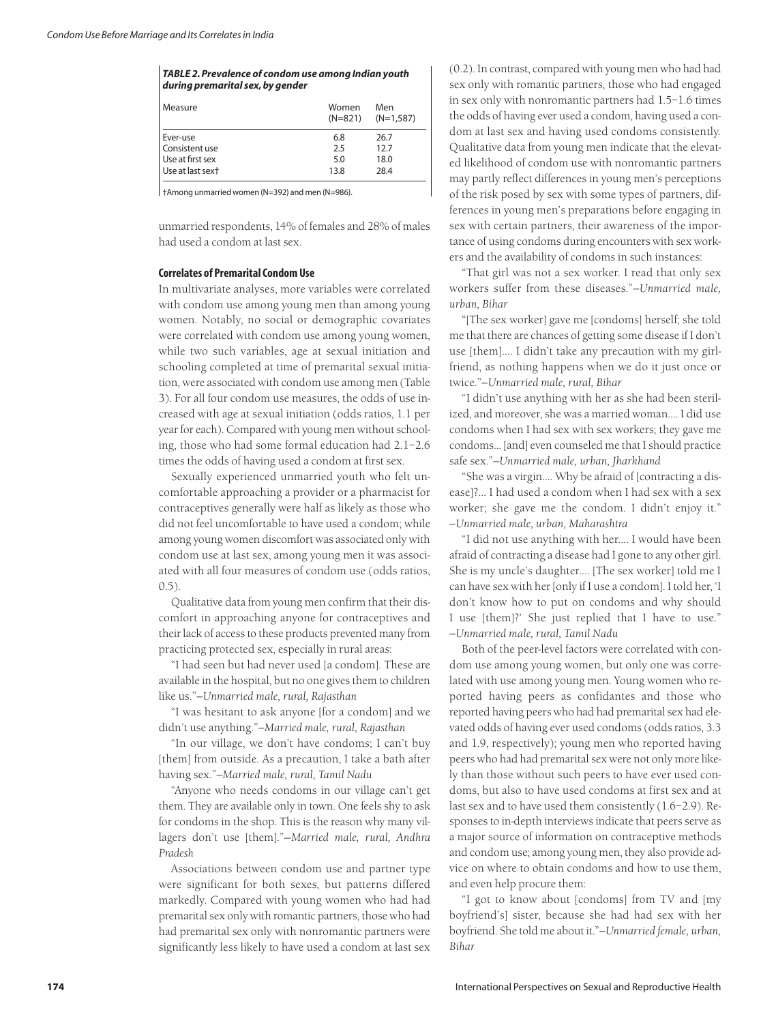#### *TABLE 2. Prevalence of condom use among Indian youth during premarital sex, by gender*

| Measure          | Women<br>$(N=821)$ | Men<br>(N=1,587) |
|------------------|--------------------|------------------|
| Ever-use         | 6.8                | 26.7             |
| Consistent use   | 2.5                | 12.7             |
| Use at first sex | 5.0                | 18.0             |
| Use at last sext | 13.8               | 28.4             |

†Among unmarried women (N=392) and men (N=986).

unmarried respondents, 14% of females and 28% of males had used a condom at last sex.

#### **Correlates of Premarital Condom Use**

In multivariate analyses, more variables were correlated with condom use among young men than among young women. Notably, no social or demographic covariates were correlated with condom use among young women, while two such variables, age at sexual initiation and schooling completed at time of premarital sexual initiation, were associated with condom use among men (Table 3). For all four condom use measures, the odds of use increased with age at sexual initiation (odds ratios, 1.1 per year for each). Compared with young men without schooling, those who had some formal education had 2.1–2.6 times the odds of having used a condom at first sex.

Sexually experienced unmarried youth who felt uncomfortable approaching a provider or a pharmacist for contraceptives generally were half as likely as those who did not feel uncomfortable to have used a condom; while among young women discomfort was associated only with condom use at last sex, among young men it was associated with all four measures of condom use (odds ratios, 0.5).

Qualitative data from young men confirm that their discomfort in approaching anyone for contraceptives and their lack of access to these products prevented many from practicing protected sex, especially in rural areas:

"I had seen but had never used [a condom]. These are available in the hospital, but no one gives them to children like us."*—Unmarried male, rural, Rajasthan*

"I was hesitant to ask anyone [for a condom] and we didn't use anything."*—Married male, rural, Rajasthan*

"In our village, we don't have condoms; I can't buy [them] from outside. As a precaution, I take a bath after having sex."*—Married male, rural, Tamil Nadu*

"Anyone who needs condoms in our village can't get them. They are available only in town. One feels shy to ask for condoms in the shop. This is the reason why many villagers don't use [them]."—*Married male, rural, Andhra Pradesh*

Associations between condom use and partner type were significant for both sexes, but patterns differed markedly. Compared with young women who had had premarital sex only with romantic partners, those who had had premarital sex only with nonromantic partners were significantly less likely to have used a condom at last sex

(0.2). In contrast, compared with young men who had had sex only with romantic partners, those who had engaged in sex only with nonromantic partners had 1.5–1.6 times the odds of having ever used a condom, having used a condom at last sex and having used condoms consistently. Qualitative data from young men indicate that the elevated likelihood of condom use with nonromantic partners may partly reflect differences in young men's perceptions of the risk posed by sex with some types of partners, differences in young men's preparations before engaging in sex with certain partners, their awareness of the importance of using condoms during encounters with sex workers and the availability of condoms in such instances:

"That girl was not a sex worker. I read that only sex workers suffer from these diseases."*—Unmarried male, urban, Bihar*

"[The sex worker] gave me [condoms] herself; she told me that there are chances of getting some disease if I don't use [them].... I didn't take any precaution with my girlfriend, as nothing happens when we do it just once or twice."*—Unmarried male, rural, Bihar*

"I didn't use anything with her as she had been sterilized, and moreover, she was a married woman.... I did use condoms when I had sex with sex workers; they gave me condoms... [and] even counseled me that I should practice safe sex."*—Unmarried male, urban, Jharkhand*

"She was a virgin.... Why be afraid of [contracting a disease]?... I had used a condom when I had sex with a sex worker; she gave me the condom. I didn't enjoy it." *—Unmarried male, urban, Maharashtra*

"I did not use anything with her.... I would have been afraid of contracting a disease had I gone to any other girl. She is my uncle's daughter.... [The sex worker] told me I can have sex with her [only if I use a condom]. I told her, 'I don't know how to put on condoms and why should I use [them]?' She just replied that I have to use." *—Unmarried male, rural, Tamil Nadu* 

Both of the peer-level factors were correlated with condom use among young women, but only one was correlated with use among young men. Young women who reported having peers as confidantes and those who reported having peers who had had premarital sex had elevated odds of having ever used condoms (odds ratios, 3.3 and 1.9, respectively); young men who reported having peers who had had premarital sex were not only more likely than those without such peers to have ever used condoms, but also to have used condoms at first sex and at last sex and to have used them consistently (1.6–2.9). Responses to in-depth interviews indicate that peers serve as a major source of information on contraceptive methods and condom use; among young men, they also provide advice on where to obtain condoms and how to use them, and even help procure them:

"I got to know about [condoms] from TV and [my boyfriend's] sister, because she had had sex with her boyfriend. She told me about it."*—Unmarried female, urban, Bihar*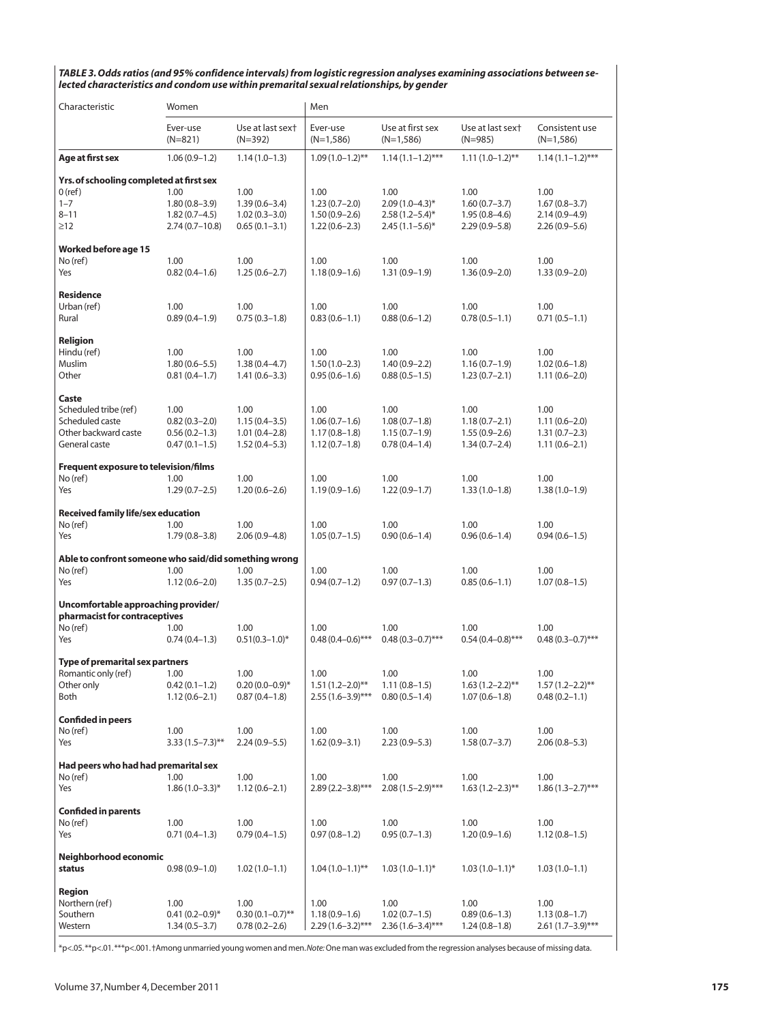*TABLE 3. Odds ratios (and 95% confidence intervals) from logistic regression analyses examining associations between selected characteristics and condom use within premarital sexual relationships, by gender*

| Characteristic                                                                                   | Women                                                             |                                                                   | Men                                                             |                                                                       |                                                                   |                                                                   |
|--------------------------------------------------------------------------------------------------|-------------------------------------------------------------------|-------------------------------------------------------------------|-----------------------------------------------------------------|-----------------------------------------------------------------------|-------------------------------------------------------------------|-------------------------------------------------------------------|
|                                                                                                  | Ever-use<br>$(N=821)$                                             | Use at last sext<br>$(N=392)$                                     | Ever-use<br>$(N=1,586)$                                         | Use at first sex<br>$(N=1,586)$                                       | Use at last sext<br>$(N=985)$                                     | Consistent use<br>$(N=1,586)$                                     |
| Age at first sex                                                                                 | $1.06(0.9-1.2)$                                                   | $1.14(1.0-1.3)$                                                   | $1.09(1.0-1.2)$ **                                              | $1.14(1.1-1.2)$ ***                                                   | $1.11(1.0-1.2)$ **                                                | $1.14(1.1-1.2)$ ***                                               |
| Yrs. of schooling completed at first sex<br>$0$ (ref)<br>$1 - 7$<br>$8 - 11$<br>$\geq$ 12        | 1.00<br>$1.80(0.8 - 3.9)$<br>$1.82(0.7-4.5)$<br>$2.74(0.7-10.8)$  | 1.00<br>$1.39(0.6 - 3.4)$<br>$1.02(0.3 - 3.0)$<br>$0.65(0.1-3.1)$ | 1.00<br>$1.23(0.7-2.0)$<br>$1.50(0.9 - 2.6)$<br>$1.22(0.6-2.3)$ | 1.00<br>$2.09(1.0-4.3)$ *<br>$2.58(1.2 - 5.4)$ *<br>$2.45(1.1-5.6)$ * | 1.00<br>$1.60(0.7 - 3.7)$<br>$1.95(0.8-4.6)$<br>$2.29(0.9 - 5.8)$ | 1.00<br>$1.67(0.8-3.7)$<br>$2.14(0.9 - 4.9)$<br>$2.26(0.9 - 5.6)$ |
| <b>Worked before age 15</b><br>No (ref)<br>Yes                                                   | 1.00<br>$0.82(0.4 - 1.6)$                                         | 1.00<br>$1.25(0.6-2.7)$                                           | 1.00<br>$1.18(0.9-1.6)$                                         | 1.00<br>$1.31(0.9-1.9)$                                               | 1.00<br>$1.36(0.9 - 2.0)$                                         | 1.00<br>$1.33(0.9 - 2.0)$                                         |
| <b>Residence</b><br>Urban (ref)<br>Rural                                                         | 1.00<br>$0.89(0.4-1.9)$                                           | 1.00<br>$0.75(0.3-1.8)$                                           | 1.00<br>$0.83(0.6 - 1.1)$                                       | 1.00<br>$0.88(0.6-1.2)$                                               | 1.00<br>$0.78(0.5-1.1)$                                           | 1.00<br>$0.71(0.5-1.1)$                                           |
| Religion<br>Hindu (ref)<br>Muslim<br>Other                                                       | 1.00<br>$1.80(0.6 - 5.5)$<br>$0.81(0.4-1.7)$                      | 1.00<br>$1.38(0.4 - 4.7)$<br>$1.41(0.6 - 3.3)$                    | 1.00<br>$1.50(1.0-2.3)$<br>$0.95(0.6 - 1.6)$                    | 1.00<br>$1.40(0.9 - 2.2)$<br>$0.88(0.5-1.5)$                          | 1.00<br>$1.16(0.7-1.9)$<br>$1.23(0.7-2.1)$                        | 1.00<br>$1.02(0.6-1.8)$<br>$1.11(0.6 - 2.0)$                      |
| Caste<br>Scheduled tribe (ref)<br>Scheduled caste<br>Other backward caste<br>General caste       | 1.00<br>$0.82(0.3 - 2.0)$<br>$0.56(0.2 - 1.3)$<br>$0.47(0.1-1.5)$ | 1.00<br>$1.15(0.4 - 3.5)$<br>$1.01(0.4-2.8)$<br>$1.52(0.4 - 5.3)$ | 1.00<br>$1.06(0.7-1.6)$<br>$1.17(0.8-1.8)$<br>$1.12(0.7-1.8)$   | 1.00<br>$1.08(0.7-1.8)$<br>$1.15(0.7-1.9)$<br>$0.78(0.4-1.4)$         | 1.00<br>$1.18(0.7-2.1)$<br>$1.55(0.9-2.6)$<br>$1.34(0.7 - 2.4)$   | 1.00<br>$1.11(0.6 - 2.0)$<br>$1.31(0.7-2.3)$<br>$1.11(0.6-2.1)$   |
| <b>Frequent exposure to television/films</b><br>No (ref)<br>Yes                                  | 1.00<br>$1.29(0.7-2.5)$                                           | 1.00<br>$1.20(0.6-2.6)$                                           | 1.00<br>$1.19(0.9-1.6)$                                         | 1.00<br>$1.22(0.9-1.7)$                                               | 1.00<br>$1.33(1.0-1.8)$                                           | 1.00<br>$1.38(1.0-1.9)$                                           |
| Received family life/sex education<br>No (ref)<br>Yes                                            | 1.00<br>$1.79(0.8 - 3.8)$                                         | 1.00<br>$2.06(0.9 - 4.8)$                                         | 1.00<br>$1.05(0.7-1.5)$                                         | 1.00<br>$0.90(0.6 - 1.4)$                                             | 1.00<br>$0.96(0.6-1.4)$                                           | 1.00<br>$0.94(0.6 - 1.5)$                                         |
| Able to confront someone who said/did something wrong<br>No (ref)<br>Yes                         | 1.00<br>$1.12(0.6 - 2.0)$                                         | 1.00<br>$1.35(0.7-2.5)$                                           | 1.00<br>$0.94(0.7-1.2)$                                         | 1.00<br>$0.97(0.7-1.3)$                                               | 1.00<br>$0.85(0.6-1.1)$                                           | 1.00<br>$1.07(0.8-1.5)$                                           |
| Uncomfortable approaching provider/<br>pharmacist for contraceptives<br>No (ref)<br>1.00<br>1.00 |                                                                   | 1.00                                                              | 1.00                                                            | 1.00                                                                  | 1.00                                                              |                                                                   |
| Yes                                                                                              | $0.74(0.4-1.3)$                                                   | $0.51(0.3-1.0)$ *                                                 | $0.48(0.4-0.6)$ ***                                             | $0.48(0.3-0.7)$ ***                                                   | $0.54(0.4-0.8)$ ***                                               | $0.48(0.3-0.7)$ ***                                               |
| Type of premarital sex partners<br>Romantic only (ref)<br>Other only<br>Both                     | 1.00<br>$0.42(0.1 - 1.2)$<br>$1.12(0.6 - 2.1)$                    | 1.00<br>$0.20(0.0-0.9)$ *<br>$0.87(0.4-1.8)$                      | 1.00<br>$1.51(1.2-2.0)$ **<br>$2.55(1.6-3.9)$ ***               | 1.00<br>$1.11(0.8-1.5)$<br>$0.80(0.5-1.4)$                            | 1.00<br>$1.63(1.2-2.2)$ **<br>$1.07(0.6 - 1.8)$                   | 1.00<br>$1.57(1.2-2.2)$ **<br>$0.48(0.2 - 1.1)$                   |
| <b>Confided in peers</b><br>No (ref)<br>Yes                                                      | 1.00<br>$3.33(1.5 - 7.3)$ **                                      | 1.00<br>$2.24(0.9 - 5.5)$                                         | 1.00<br>$1.62(0.9 - 3.1)$                                       | 1.00<br>$2.23(0.9 - 5.3)$                                             | 1.00<br>$1.58(0.7 - 3.7)$                                         | 1.00<br>$2.06(0.8 - 5.3)$                                         |
| Had peers who had had premarital sex<br>No (ref)<br>Yes                                          | 1.00<br>$1.86(1.0-3.3)*$                                          | 1.00<br>$1.12(0.6 - 2.1)$                                         | 1.00<br>$2.89(2.2 - 3.8)$ ***                                   | 1.00<br>$2.08(1.5-2.9)$ ***                                           | 1.00<br>$1.63(1.2-2.3)$ **                                        | 1.00<br>$1.86(1.3-2.7)$ ***                                       |
| <b>Confided in parents</b><br>No (ref)<br>Yes                                                    | 1.00<br>$0.71(0.4-1.3)$                                           | 1.00<br>$0.79(0.4-1.5)$                                           | 1.00<br>$0.97(0.8-1.2)$                                         | 1.00<br>$0.95(0.7-1.3)$                                               | 1.00<br>$1.20(0.9-1.6)$                                           | 1.00<br>$1.12(0.8-1.5)$                                           |
| Neighborhood economic<br>status                                                                  | $0.98(0.9-1.0)$                                                   | $1.02(1.0-1.1)$                                                   | $1.04(1.0-1.1)$ **                                              | $1.03(1.0-1.1)$ *                                                     | $1.03(1.0-1.1)$ <sup>*</sup>                                      | $1.03(1.0-1.1)$                                                   |
| Region<br>Northern (ref)<br>Southern<br>Western                                                  | 1.00<br>$0.41(0.2 - 0.9)$ *<br>$1.34(0.5-3.7)$                    | 1.00<br>$0.30(0.1-0.7)$ **<br>$0.78(0.2 - 2.6)$                   | 1.00<br>$1.18(0.9-1.6)$<br>$2.29(1.6-3.2)$ ***                  | 1.00<br>$1.02(0.7-1.5)$<br>$2.36(1.6-3.4)$ ***                        | 1.00<br>$0.89(0.6 - 1.3)$<br>$1.24(0.8-1.8)$                      | 1.00<br>$1.13(0.8-1.7)$<br>$2.61(1.7-3.9)$ ***                    |

\*p<.05. \*\*p<.01. \*\*\*p<.001. †Among unmarried young women and men. *Note:*One man was excluded from the regression analyses because of missing data.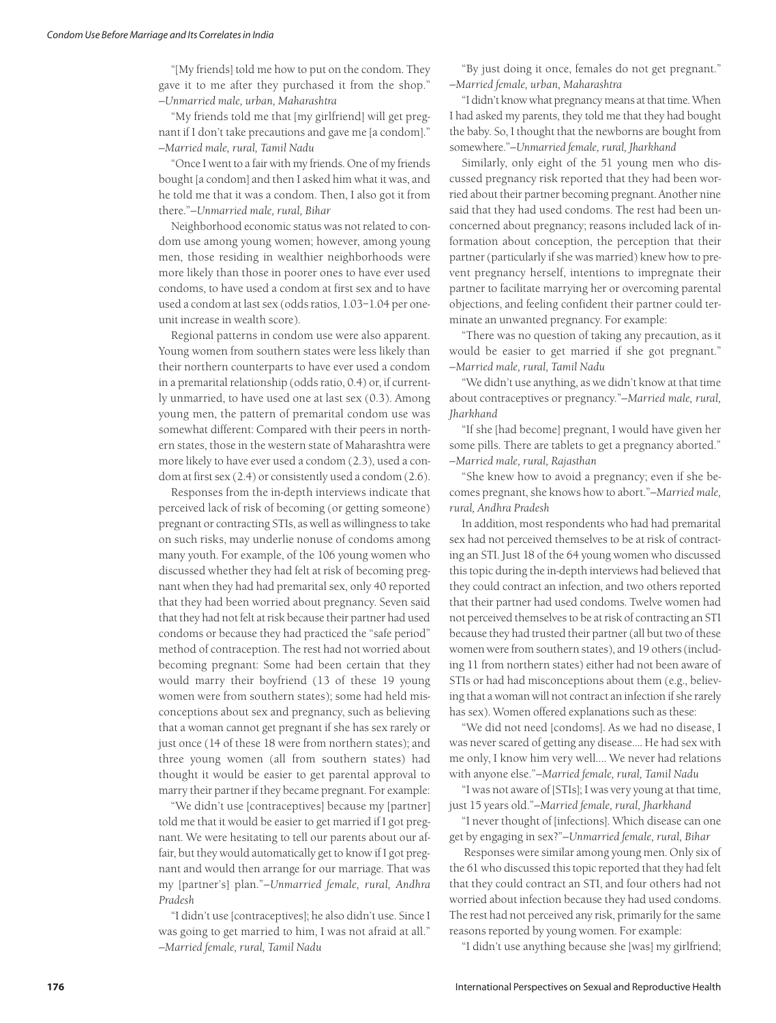"[My friends] told me how to put on the condom. They gave it to me after they purchased it from the shop." *—Unmarried male, urban, Maharashtra*

"My friends told me that [my girlfriend] will get pregnant if I don't take precautions and gave me [a condom]." *—Married male, rural, Tamil Nadu*

"Once I went to a fair with my friends. One of my friends bought [a condom] and then I asked him what it was, and he told me that it was a condom. Then, I also got it from there."*—Unmarried male, rural, Bihar*

Neighborhood economic status was not related to condom use among young women; however, among young men, those residing in wealthier neighborhoods were more likely than those in poorer ones to have ever used condoms, to have used a condom at first sex and to have used a condom at last sex (odds ratios, 1.03–1.04 per oneunit increase in wealth score).

Regional patterns in condom use were also apparent. Young women from southern states were less likely than their northern counterparts to have ever used a condom in a premarital relationship (odds ratio, 0.4) or, if currently unmarried, to have used one at last sex (0.3). Among young men, the pattern of premarital condom use was somewhat different: Compared with their peers in northern states, those in the western state of Maharashtra were more likely to have ever used a condom (2.3), used a condom at first sex (2.4) or consistently used a condom (2.6).

Responses from the in-depth interviews indicate that perceived lack of risk of becoming (or getting someone) pregnant or contracting STIs, as well as willingness to take on such risks, may underlie nonuse of condoms among many youth. For example, of the 106 young women who discussed whether they had felt at risk of becoming pregnant when they had had premarital sex, only 40 reported that they had been worried about pregnancy. Seven said that they had not felt at risk because their partner had used condoms or because they had practiced the "safe period" method of contraception. The rest had not worried about becoming pregnant: Some had been certain that they would marry their boyfriend (13 of these 19 young women were from southern states); some had held misconceptions about sex and pregnancy, such as believing that a woman cannot get pregnant if she has sex rarely or just once (14 of these 18 were from northern states); and three young women (all from southern states) had thought it would be easier to get parental approval to marry their partner if they became pregnant. For example:

"We didn't use [contraceptives] because my [partner] told me that it would be easier to get married if I got pregnant. We were hesitating to tell our parents about our affair, but they would automatically get to know if I got pregnant and would then arrange for our marriage. That was my [partner's] plan."*—Unmarried female, rural, Andhra Pradesh*

"I didn't use [contraceptives]; he also didn't use. Since I was going to get married to him, I was not afraid at all." *—Married female, rural, Tamil Nadu*

"By just doing it once, females do not get pregnant." *—Married female, urban, Maharashtra*

"I didn't know what pregnancy means at that time. When I had asked my parents, they told me that they had bought the baby. So, I thought that the newborns are bought from somewhere."*—Unmarried female, rural, Jharkhand*

Similarly, only eight of the 51 young men who discussed pregnancy risk reported that they had been worried about their partner becoming pregnant. Another nine said that they had used condoms. The rest had been unconcerned about pregnancy; reasons included lack of information about conception, the perception that their partner (particularly if she was married) knew how to prevent pregnancy herself, intentions to impregnate their partner to facilitate marrying her or overcoming parental objections, and feeling confident their partner could terminate an unwanted pregnancy. For example:

"There was no question of taking any precaution, as it would be easier to get married if she got pregnant." *—Married male, rural, Tamil Nadu*

"We didn't use anything, as we didn't know at that time about contraceptives or pregnancy."*—Married male, rural, Jharkhand*

"If she [had become] pregnant, I would have given her some pills. There are tablets to get a pregnancy aborted." *—Married male, rural, Rajasthan*

"She knew how to avoid a pregnancy; even if she becomes pregnant, she knows how to abort."*—Married male, rural, Andhra Pradesh*

In addition, most respondents who had had premarital sex had not perceived themselves to be at risk of contracting an STI. Just 18 of the 64 young women who discussed this topic during the in-depth interviews had believed that they could contract an infection, and two others reported that their partner had used condoms. Twelve women had not perceived themselves to be at risk of contracting an STI because they had trusted their partner (all but two of these women were from southern states), and 19 others (including 11 from northern states) either had not been aware of STIs or had had misconceptions about them (e.g., believing that a woman will not contract an infection if she rarely has sex). Women offered explanations such as these:

"We did not need [condoms]. As we had no disease, I was never scared of getting any disease.... He had sex with me only, I know him very well.... We never had relations with anyone else."*—Married female, rural, Tamil Nadu*

"I was not aware of [STIs]; I was very young at that time, just 15 years old."*—Married female, rural, Jharkhand*

"I never thought of [infections]. Which disease can one get by engaging in sex?"*—Unmarried female, rural, Bihar*

Responses were similar among young men. Only six of the 61 who discussed this topic reported that they had felt that they could contract an STI, and four others had not worried about infection because they had used condoms. The rest had not perceived any risk, primarily for the same reasons reported by young women. For example:

"I didn't use anything because she [was] my girlfriend;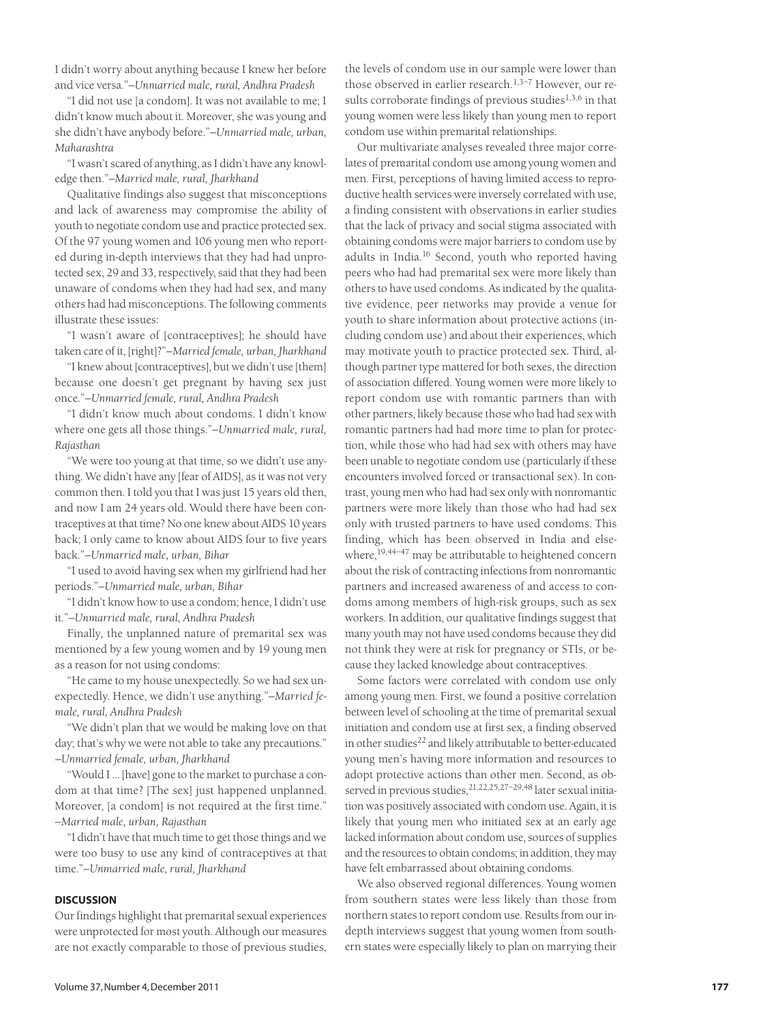I didn't worry about anything because I knew her before and vice versa."*—Unmarried male, rural, Andhra Pradesh*

"I did not use [a condom]. It was not available to me; I didn't know much about it. Moreover, she was young and she didn't have anybody before."*—Unmarried male, urban, Maharashtra*

"I wasn't scared of anything, as I didn't have any knowledge then."*—Married male, rural, Jharkhand*

Qualitative findings also suggest that misconceptions and lack of awareness may compromise the ability of youth to negotiate condom use and practice protected sex. Of the 97 young women and 106 young men who reported during in-depth interviews that they had had unprotected sex, 29 and 33, respectively, said that they had been unaware of condoms when they had had sex, and many others had had misconceptions. The following comments illustrate these issues:

"I wasn't aware of [contraceptives]; he should have taken care of it, [right]?"*—Married female, urban, Jharkhand*

"I knew about [contraceptives], but we didn't use [them] because one doesn't get pregnant by having sex just once."*—Unmarried female, rural, Andhra Pradesh*

"I didn't know much about condoms. I didn't know where one gets all those things."*—Unmarried male, rural, Rajasthan*

"We were too young at that time, so we didn't use anything. We didn't have any [fear of AIDS], as it was not very common then. I told you that I was just 15 years old then, and now I am 24 years old. Would there have been contraceptives at that time? No one knew about AIDS 10 years back; I only came to know about AIDS four to five years back."*—Unmarried male, urban, Bihar*

"I used to avoid having sex when my girlfriend had her periods."*—Unmarried male, urban, Bihar*

"I didn't know how to use a condom; hence, I didn't use it."*—Unmarried male, rural, Andhra Pradesh*

Finally, the unplanned nature of premarital sex was mentioned by a few young women and by 19 young men as a reason for not using condoms:

"He came to my house unexpectedly. So we had sex unexpectedly. Hence, we didn't use anything."*—Married female, rural, Andhra Pradesh*

"We didn't plan that we would be making love on that day; that's why we were not able to take any precautions." *—Unmarried female, urban, Jharkhand*

"Would I … [have] gone to the market to purchase a condom at that time? [The sex] just happened unplanned. Moreover, [a condom] is not required at the first time." *—Married male, urban, Rajasthan*

"I didn't have that much time to get those things and we were too busy to use any kind of contraceptives at that time."*—Unmarried male, rural, Jharkhand*

#### **DISCUSSION**

Our findings highlight that premarital sexual experiences were unprotected for most youth. Although our measures are not exactly comparable to those of previous studies,

the levels of condom use in our sample were lower than those observed in earlier research.<sup>1,3-7</sup> However, our results corroborate findings of previous studies<sup>1,3,6</sup> in that young women were less likely than young men to report condom use within premarital relationships.

Our multivariate analyses revealed three major correlates of premarital condom use among young women and men. First, perceptions of having limited access to reproductive health services were inversely correlated with use, a finding consistent with observations in earlier studies that the lack of privacy and social stigma associated with obtaining condoms were major barriers to condom use by adults in India.<sup>16</sup> Second, youth who reported having peers who had had premarital sex were more likely than others to have used condoms. As indicated by the qualitative evidence, peer networks may provide a venue for youth to share information about protective actions (including condom use) and about their experiences, which may motivate youth to practice protected sex. Third, although partner type mattered for both sexes, the direction of association differed. Young women were more likely to report condom use with romantic partners than with other partners, likely because those who had had sex with romantic partners had had more time to plan for protection, while those who had had sex with others may have been unable to negotiate condom use (particularly if these encounters involved forced or transactional sex). In contrast, young men who had had sex only with nonromantic partners were more likely than those who had had sex only with trusted partners to have used condoms. This finding, which has been observed in India and elsewhere,<sup>19,44–47</sup> may be attributable to heightened concern about the risk of contracting infections from nonromantic partners and increased awareness of and access to condoms among members of high-risk groups, such as sex workers. In addition, our qualitative findings suggest that many youth may not have used condoms because they did not think they were at risk for pregnancy or STIs, or because they lacked knowledge about contraceptives.

Some factors were correlated with condom use only among young men. First, we found a positive correlation between level of schooling at the time of premarital sexual initiation and condom use at first sex, a finding observed in other studies<sup>22</sup> and likely attributable to better-educated young men's having more information and resources to adopt protective actions than other men. Second, as observed in previous studies, <sup>21, 22, 25, 27-29, 48</sup> later sexual initiation was positively associated with condom use. Again, it is likely that young men who initiated sex at an early age lacked information about condom use, sources of supplies and the resources to obtain condoms; in addition, they may have felt embarrassed about obtaining condoms.

We also observed regional differences. Young women from southern states were less likely than those from northern states to report condom use. Results from our indepth interviews suggest that young women from southern states were especially likely to plan on marrying their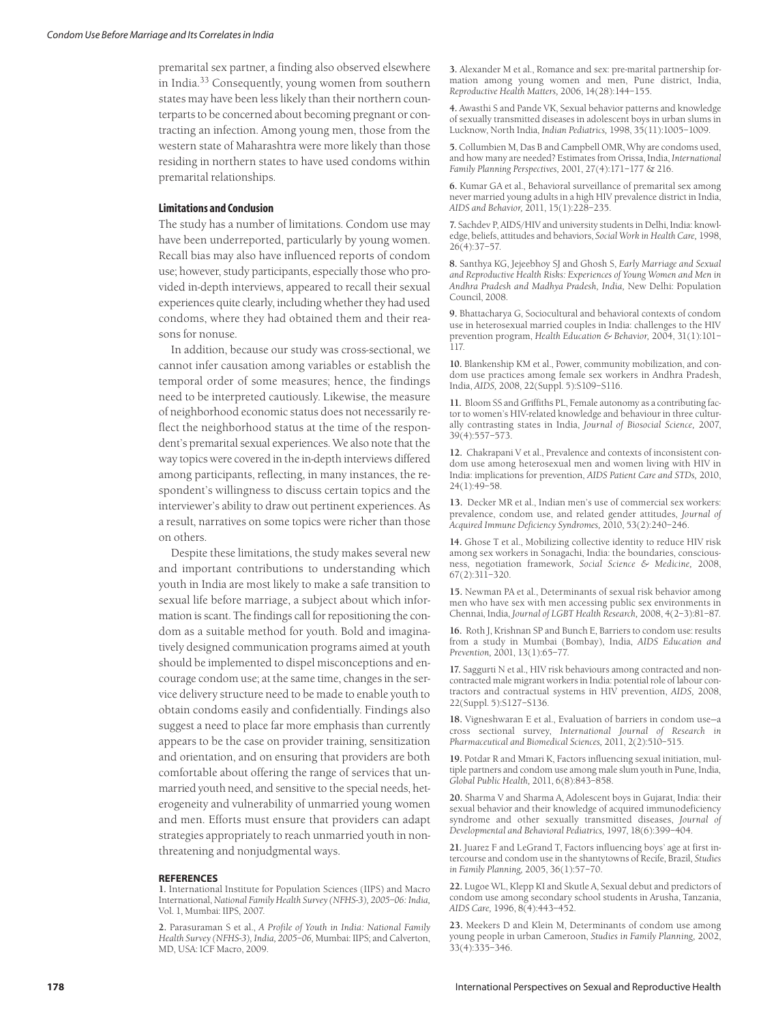premarital sex partner, a finding also observed elsewhere in India.<sup>33</sup> Consequently, young women from southern states may have been less likely than their northern counterparts to be concerned about becoming pregnant or contracting an infection. Among young men, those from the western state of Maharashtra were more likely than those residing in northern states to have used condoms within premarital relationships.

#### **Limitations and Conclusion**

The study has a number of limitations. Condom use may have been underreported, particularly by young women. Recall bias may also have influenced reports of condom use; however, study participants, especially those who provided in-depth interviews, appeared to recall their sexual experiences quite clearly, including whether they had used condoms, where they had obtained them and their reasons for nonuse.

In addition, because our study was cross-sectional, we cannot infer causation among variables or establish the temporal order of some measures; hence, the findings need to be interpreted cautiously. Likewise, the measure of neighborhood economic status does not necessarily reflect the neighborhood status at the time of the respondent's premarital sexual experiences. We also note that the way topics were covered in the in-depth interviews differed among participants, reflecting, in many instances, the respondent's willingness to discuss certain topics and the interviewer's ability to draw out pertinent experiences. As a result, narratives on some topics were richer than those on others.

Despite these limitations, the study makes several new and important contributions to understanding which youth in India are most likely to make a safe transition to sexual life before marriage, a subject about which information is scant. The findings call for repositioning the condom as a suitable method for youth. Bold and imaginatively designed communication programs aimed at youth should be implemented to dispel misconceptions and encourage condom use; at the same time, changes in the service delivery structure need to be made to enable youth to obtain condoms easily and confidentially. Findings also suggest a need to place far more emphasis than currently appears to be the case on provider training, sensitization and orientation, and on ensuring that providers are both comfortable about offering the range of services that unmarried youth need, and sensitive to the special needs, heterogeneity and vulnerability of unmarried young women and men. Efforts must ensure that providers can adapt strategies appropriately to reach unmarried youth in nonthreatening and nonjudgmental ways.

#### **REFERENCES**

**1.** International Institute for Population Sciences (IIPS) and Macro International, *National Family Health Survey (NFHS-3), 2005–06: India,* Vol. 1, Mumbai: IIPS, 2007.

**2.** Parasuraman S et al., *A Profile of Youth in India: National Family Health Survey (NFHS-3), India, 2005–06,* Mumbai: IIPS; and Calverton, MD, USA: ICF Macro, 2009.

**3.** Alexander M et al., Romance and sex: pre-marital partnership formation among young women and men, Pune district, India, *Reproductive Health Matters,* 2006, 14(28):144–155.

**4.** Awasthi S and Pande VK, Sexual behavior patterns and knowledge of sexually transmitted diseases in adolescent boys in urban slums in Lucknow, North India, *Indian Pediatrics,* 1998, 35(11):1005–1009.

**5.** Collumbien M, Das B and Campbell OMR, Why are condoms used, and how many are needed? Estimates from Orissa, India, *International Family Planning Perspectives,* 2001, 27(4):171–177 & 216.

**6.** Kumar GA et al., Behavioral surveillance of premarital sex among never married young adults in a high HIV prevalence district in India, *AIDS and Behavior,* 2011, 15(1):228–235.

**7.** Sachdev P, AIDS/HIV and university students in Delhi, India: knowledge, beliefs, attitudes and behaviors, *Social Work in Health Care,* 1998, 26(4):37–57.

**8.** Santhya KG, Jejeebhoy SJ and Ghosh S, *Early Marriage and Sexual and Reproductive Health Risks: Experiences of Young Women and Men in Andhra Pradesh and Madhya Pradesh, India,* New Delhi: Population Council, 2008.

**9.** Bhattacharya G, Sociocultural and behavioral contexts of condom use in heterosexual married couples in India: challenges to the HIV prevention program, *Health Education & Behavior,* 2004, 31(1):101– 117.

**10.** Blankenship KM et al., Power, community mobilization, and condom use practices among female sex workers in Andhra Pradesh, India, *AIDS,* 2008, 22(Suppl. 5):S109–S116.

**11.** Bloom SS and Griffiths PL, Female autonomy as a contributing factor to women's HIV-related knowledge and behaviour in three culturally contrasting states in India, *Journal of Biosocial Science,* 2007, 39(4):557–573.

**12.** Chakrapani V et al., Prevalence and contexts of inconsistent condom use among heterosexual men and women living with HIV in India: implications for prevention, *AIDS Patient Care and STDs,* 2010, 24(1):49–58.

**13.** Decker MR et al., Indian men's use of commercial sex workers: prevalence, condom use, and related gender attitudes, *Journal of Acquired Immune Deficiency Syndromes,* 2010, 53(2):240–246.

**14.** Ghose T et al., Mobilizing collective identity to reduce HIV risk among sex workers in Sonagachi, India: the boundaries, consciousness, negotiation framework, *Social Science & Medicine,* 2008, 67(2):311–320.

**15.** Newman PA et al., Determinants of sexual risk behavior among men who have sex with men accessing public sex environments in Chennai, India, *Journal of LGBT Health Research,* 2008, 4(2–3):81–87.

**16.** Roth J, Krishnan SP and Bunch E, Barriers to condom use: results from a study in Mumbai (Bombay), India, *AIDS Education and Prevention,* 2001, 13(1):65–77.

**17.** Saggurti N et al., HIV risk behaviours among contracted and noncontracted male migrant workers in India: potential role of labour contractors and contractual systems in HIV prevention, *AIDS,* 2008, 22(Suppl. 5):S127–S136.

**18.** Vigneshwaran E et al., Evaluation of barriers in condom use—a cross sectional survey, *International Journal of Research in Pharmaceutical and Biomedical Sciences,* 2011, 2(2):510–515.

**19.** Potdar R and Mmari K, Factors influencing sexual initiation, multiple partners and condom use among male slum youth in Pune, India, *Global Public Health,* 2011, 6(8):843–858.

**20.** Sharma V and Sharma A, Adolescent boys in Gujarat, India: their sexual behavior and their knowledge of acquired immunodeficiency syndrome and other sexually transmitted diseases, *Journal of Developmental and Behavioral Pediatrics,* 1997, 18(6):399–404.

**21.** Juarez F and LeGrand T, Factors influencing boys' age at first intercourse and condom use in the shantytowns of Recife, Brazil, *Studies in Family Planning,* 2005, 36(1):57–70.

**22.** Lugoe WL, Klepp KI and Skutle A, Sexual debut and predictors of condom use among secondary school students in Arusha, Tanzania, *AIDS Care,* 1996, 8(4):443–452.

**23.** Meekers D and Klein M, Determinants of condom use among young people in urban Cameroon, *Studies in Family Planning,* 2002, 33(4):335–346.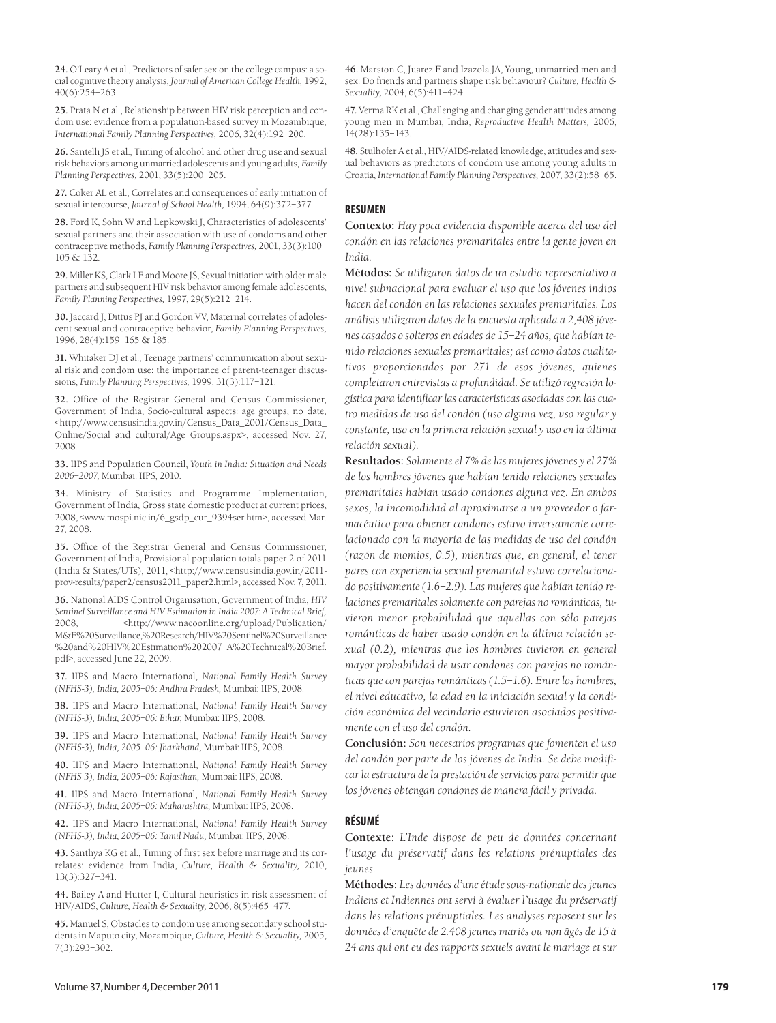**24.** O'Leary A et al., Predictors of safer sex on the college campus: a social cognitive theory analysis, *Journal of American College Health,* 1992, 40(6):254–263.

**25.** Prata N et al., Relationship between HIV risk perception and condom use: evidence from a population-based survey in Mozambique, *International Family Planning Perspectives,* 2006, 32(4):192–200.

**26.** Santelli JS et al., Timing of alcohol and other drug use and sexual risk behaviors among unmarried adolescents and young adults, *Family Planning Perspectives,* 2001, 33(5):200–205.

**27.** Coker AL et al., Correlates and consequences of early initiation of sexual intercourse, *Journal of School Health,* 1994, 64(9):372–377.

**28.** Ford K, Sohn W and Lepkowski J, Characteristics of adolescents' sexual partners and their association with use of condoms and other contraceptive methods, *Family Planning Perspectives,* 2001, 33(3):100– 105 & 132.

**29.** Miller KS, Clark LF and Moore JS, Sexual initiation with older male partners and subsequent HIV risk behavior among female adolescents, *Family Planning Perspectives,* 1997, 29(5):212–214.

**30.** Jaccard J, Dittus PJ and Gordon VV, Maternal correlates of adolescent sexual and contraceptive behavior, *Family Planning Perspectives,* 1996, 28(4):159–165 & 185.

**31.** Whitaker DJ et al., Teenage partners' communication about sexual risk and condom use: the importance of parent-teenager discussions, *Family Planning Perspectives,* 1999, 31(3):117–121.

**32.** Office of the Registrar General and Census Commissioner, Government of India, Socio-cultural aspects: age groups, no date, <http://www.censusindia.gov.in/Census\_Data\_2001/Census\_Data\_ Online/Social\_and\_cultural/Age\_Groups.aspx>, accessed Nov. 27, 2008.

**33.** IIPS and Population Council, *Youth in India: Situation and Needs 2006–2007,* Mumbai: IIPS, 2010*.*

**34.** Ministry of Statistics and Programme Implementation, Government of India, Gross state domestic product at current prices, 2008, <www.mospi.nic.in/6\_gsdp\_cur\_9394ser.htm>, accessed Mar. 27, 2008.

**35.** Office of the Registrar General and Census Commissioner, Government of India, Provisional population totals paper 2 of 2011 (India & States/UTs), 2011, <http://www.censusindia.gov.in/2011 prov-results/paper2/census2011\_paper2.html>, accessed Nov. 7, 2011.

**36.** National AIDS Control Organisation, Government of India, *HIV Sentinel Surveillance and HIV Estimation in India 2007: A Technical Brief,* 2008, <http://www.nacoonline.org/upload/Publication/ M&E%20Surveillance,%20Research/HIV%20Sentinel%20Surveillance %20and%20HIV%20Estimation%202007\_A%20Technical%20Brief. pdf>, accessed June 22, 2009.

**37.** IIPS and Macro International, *National Family Health Survey (NFHS-3), India, 2005–06: Andhra Pradesh,* Mumbai: IIPS, 2008*.*

**38.** IIPS and Macro International, *National Family Health Survey (NFHS-3), India, 2005–06: Bihar,* Mumbai: IIPS, 2008*.*

**39.** IIPS and Macro International, *National Family Health Survey (NFHS-3), India, 2005–06: Jharkhand,* Mumbai: IIPS, 2008*.*

**40.** IIPS and Macro International, *National Family Health Survey (NFHS-3), India, 2005–06: Rajasthan,* Mumbai: IIPS, 2008*.*

**41.** IIPS and Macro International, *National Family Health Survey (NFHS-3), India, 2005–06: Maharashtra,* Mumbai: IIPS, 2008*.*

**42.** IIPS and Macro International, *National Family Health Survey (NFHS-3), India, 2005–06: Tamil Nadu,* Mumbai: IIPS, 2008*.*

**43.** Santhya KG et al., Timing of first sex before marriage and its correlates: evidence from India, *Culture, Health & Sexuality,* 2010, 13(3):327–341.

**44.** Bailey A and Hutter I, Cultural heuristics in risk assessment of HIV/AIDS, *Culture, Health & Sexuality,* 2006, 8(5):465–477.

**45.** Manuel S, Obstacles to condom use among secondary school students in Maputo city, Mozambique, *Culture, Health & Sexuality,* 2005, 7(3):293–302.

**46.** Marston C, Juarez F and Izazola JA, Young, unmarried men and sex: Do friends and partners shape risk behaviour? *Culture, Health & Sexuality,* 2004, 6(5):411–424.

**47.** Verma RK et al., Challenging and changing gender attitudes among young men in Mumbai, India, *Reproductive Health Matters,* 2006, 14(28):135–143.

**48.** Stulhofer A et al., HIV/AIDS-related knowledge, attitudes and sexual behaviors as predictors of condom use among young adults in Croatia, *International Family Planning Perspectives,* 2007, 33(2):58–65.

#### **RESUMEN**

**Contexto:** *Hay poca evidencia disponible acerca del uso del condón en las relaciones premaritales entre la gente joven en India.* 

**Métodos:** *Se utilizaron datos de un estudio representativo a nivel subnacional para evaluar el uso que los jóvenes indios hacen del condón en las relaciones sexuales premaritales. Los análisis utilizaron datos de la encuesta aplicada a 2,408 jóvenes casados o solteros en edades de 15–24 años, que habían tenido relaciones sexuales premaritales; así como datos cualitativos proporcionados por 271 de esos jóvenes, quienes completaron entrevistas a profundidad. Se utilizó regresión logística para identificar las características asociadas con las cuatro medidas de uso del condón (uso alguna vez, uso regular y constante, uso en la primera relación sexual y uso en la última relación sexual).*

**Resultados:** *Solamente el 7% de las mujeres jóvenes y el 27% de los hombres jóvenes que habían tenido relaciones sexuales premaritales habían usado condones alguna vez. En ambos sexos, la incomodidad al aproximarse a un proveedor o farmacéutico para obtener condones estuvo inversamente correlacionado con la mayoría de las medidas de uso del condón (razón de momios, 0.5), mientras que, en general, el tener pares con experiencia sexual premarital estuvo correlacionado positivamente (1.6–2.9). Las mujeres que habían tenido relaciones premaritales solamente con parejas no románticas, tuvieron menor probabilidad que aquellas con sólo parejas románticas de haber usado condón en la última relación sexual (0.2), mientras que los hombres tuvieron en general mayor probabilidad de usar condones con parejas no románticas que con parejas románticas (1.5–1.6). Entre los hombres, el nivel educativo, la edad en la iniciación sexual y la condición económica del vecindario estuvieron asociados positivamente con el uso del condón.*

**Conclusión:** *Son necesarios programas que fomenten el uso del condón por parte de los jóvenes de India. Se debe modificar la estructura de la prestación de servicios para permitir que los jóvenes obtengan condones de manera fácil y privada.* 

#### **RÉSUMÉ**

**Contexte:** *L'Inde dispose de peu de données concernant l'usage du préservatif dans les relations prénuptiales des jeunes.*

**Méthodes:** *Les données d'une étude sous-nationale des jeunes Indiens et Indiennes ont servi à évaluer l'usage du préservatif dans les relations prénuptiales. Les analyses reposent sur les données d'enquête de 2.408 jeunes mariés ou non âgés de 15 à 24 ans qui ont eu des rapports sexuels avant le mariage et sur*